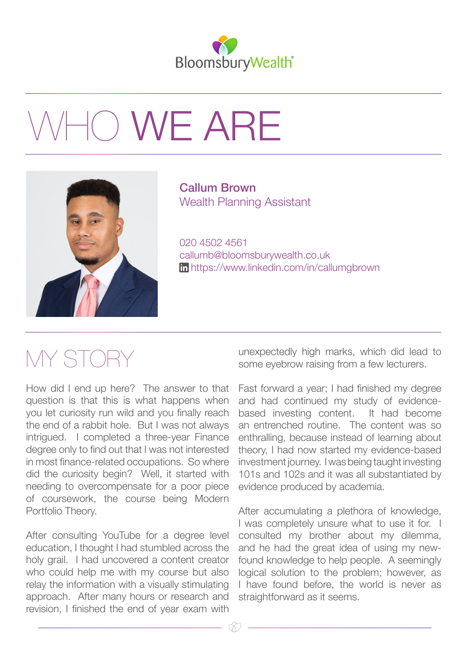

## 10 WE ARE



Callum Brown Wealth Planning Assistant

020 4502 4561 callumb@bloomsburywealth.co.uk [https://w](http://www.linkedin.com/in/callumgbrown)ww.linkedin.com/in/callumgbrown

## MY STOF

How did I end up here? The answer to that question is that this is what happens when you let curiosity run wild and you finally reach the end of a rabbit hole. But I was not always intrigued. I completed a three-year Finance degree only to find out that I was not interested in most finance-related occupations. So where did the curiosity begin? Well, it started with needing to overcompensate for a poor piece of coursework, the course being Modern Portfolio Theory.

After consulting YouTube for a degree level education, I thought I had stumbled across the holy grail. I had uncovered a content creator who could help me with my course but also relay the information with a visually stimulating approach. After many hours or research and revision, I finished the end of year exam with

unexpectedly high marks, which did lead to some eyebrow raising from a few lecturers.

Fast forward a year; I had finished my degree and had continued my study of evidencebased investing content. It had become an entrenched routine. The content was so enthralling, because instead of learning about theory, I had now started my evidence-based investment journey. I was being taught investing 101s and 102s and it was all substantiated by evidence produced by academia.

After accumulating a plethora of knowledge, I was completely unsure what to use it for. I consulted my brother about my dilemma, and he had the great idea of using my newfound knowledge to help people. A seemingly logical solution to the problem; however, as I have found before, the world is never as straightforward as it seems.